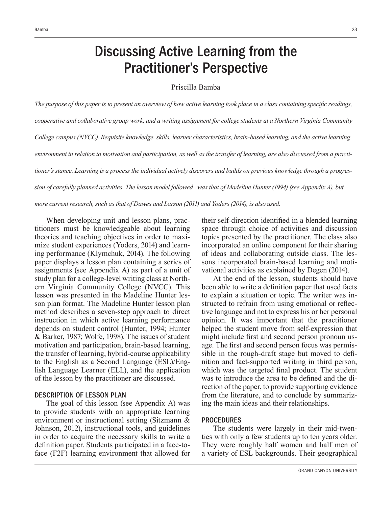# Discussing Active Learning from the Practitioner's Perspective

#### Priscilla Bamba

The purpose of this paper is to present an overview of how active learning took place in a class containing specific readings, *Cooperative and collaborative group work, and a writing assignment for college students at a Northern Virginia Community* College campus (NVCC). Requisite knowledge, skills, learner characteristics, brain-based learning, and the active learning *environment in relation to motivation and participation, as well as the transfer of learning, are also discussed from a practitioner's stance. Learning is a process the individual actively discovers and builds on previous knowledge through a progression of carefully planned activities. The lesson model followed was that of Madeline Hunter (1994) (see Appendix A), but* 

*PRUFFRUHFFRUHFXUHFXUHDIV and Larson (2011)* and Yoders (2014), is also used.

When developing unit and lesson plans, practitioners must be knowledgeable about learning theories and teaching objectives in order to maximize student experiences (Yoders, 2014) and learning performance (Klymchuk, 2014). The following paper displays a lesson plan containing a series of assignments (see Appendix A) as part of a unit of study plan for a college-level writing class at Northern Virginia Community College (NVCC). This lesson was presented in the Madeline Hunter lesson plan format. The Madeline Hunter lesson plan method describes a seven-step approach to direct instruction in which active learning performance depends on student control (Hunter, 1994; Hunter & Barker, 1987; Wolfe, 1998). The issues of student motivation and participation, brain-based learning, the transfer of learning, hybrid-course applicability to the English as a Second Language (ESL)/English Language Learner (ELL), and the application of the lesson by the practitioner are discussed.

#### DESCRIPTION OF LESSON PLAN

The goal of this lesson (see Appendix A) was to provide students with an appropriate learning environment or instructional setting (Sitzmann & Johnson, 2012), instructional tools, and guidelines in order to acquire the necessary skills to write a definition paper. Students participated in a face-toface (F2F) learning environment that allowed for their self-direction identified in a blended learning space through choice of activities and discussion topics presented by the practitioner. The class also incorporated an online component for their sharing of ideas and collaborating outside class. The lessons incorporated brain-based learning and motivational activities as explained by Degen (2014).

At the end of the lesson, students should have been able to write a definition paper that used facts to explain a situation or topic. The writer was instructed to refrain from using emotional or reflective language and not to express his or her personal opinion. It was important that the practitioner helped the student move from self-expression that might include first and second person pronoun usage. The first and second person focus was permissible in the rough-draft stage but moved to definition and fact-supported writing in third person, which was the targeted final product. The student was to introduce the area to be defined and the direction of the paper, to provide supporting evidence from the literature, and to conclude by summarizing the main ideas and their relationships.

#### PROCEDURES

The students were largely in their mid-twenties with only a few students up to ten years older. They were roughly half women and half men of a variety of ESL backgrounds. Their geographical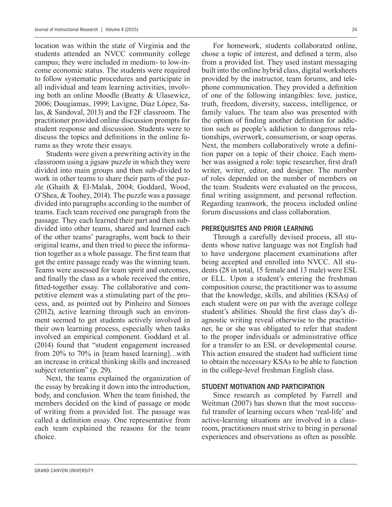location was within the state of Virginia and the students attended an NVCC community college campus; they were included in medium- to low-income economic status. The students were required to follow systematic procedures and participate in all individual and team learning activities, involving both an online Moodle (Beatty & Ulasewicz, 2006; Dougiamas, 1999; Lavigne, Díaz López, Salas, & Sandoval, 2013) and the F2F classroom. The practitioner provided online discussion prompts for student response and discussion. Students were to discuss the topics and definitions in the online forums as they wrote their essays.

Students were given a prewriting activity in the classroom using a jigsaw puzzle in which they were divided into main groups and then sub-divided to work in other teams to share their parts of the puzzle (Ghaith & El-Malak, 2004; Goddard, Wood, O'Shea, & Toohey, 2014). The puzzle was a passage divided into paragraphs according to the number of teams. Each team received one paragraph from the passage. They each learned their part and then subdivided into other teams, shared and learned each of the other teams' paragraphs, went back to their original teams, and then tried to piece the information together as a whole passage. The first team that got the entire passage ready was the winning team. Teams were assessed for team spirit and outcomes, and finally the class as a whole received the entire. fitted-together essay. The collaborative and competitive element was a stimulating part of the process, and, as pointed out by Pinheiro and Simoes (2012), active learning through such an environment seemed to get students actively involved in their own learning process, especially when tasks involved an empirical component. Goddard et al. (2014) found that "student engagement increased from 20% to 70% in [team based learning]…with an increase in critical thinking skills and increased subject retention" (p. 29).

Next, the teams explained the organization of the essay by breaking it down into the introduction, body, and conclusion. When the team finished, the members decided on the kind of passage or mode of writing from a provided list. The passage was called a definition essay. One representative from each team explained the reasons for the team choice.

For homework, students collaborated online, chose a topic of interest, and defined a term, also from a provided list. They used instant messaging built into the online hybrid class, digital worksheets provided by the instructor, team forums, and telephone communication. They provided a definition of one of the following intangibles: love, justice, truth, freedom, diversity, success, intelligence, or family values. The team also was presented with the option of finding another definition for addiction such as people's addiction to dangerous relationships, overwork, consumerism, or soap operas. Next, the members collaboratively wrote a definition paper on a topic of their choice. Each member was assigned a role: topic researcher, first draft writer, writer, editor, and designer. The number of roles depended on the number of members on the team. Students were evaluated on the process, final writing assignment, and personal reflection. Regarding teamwork, the process included online forum discussions and class collaboration.

#### PREREQUISITES AND PRIOR LEARNING

Through a carefully devised process, all students whose native language was not English had to have undergone placement examinations after being accepted and enrolled into NVCC. All students (28 in total, 15 female and 13 male) were ESL or ELL. Upon a student's entering the freshman composition course, the practitioner was to assume that the knowledge, skills, and abilities (KSAs) of each student were on par with the average college student's abilities. Should the first class day's diagnostic writing reveal otherwise to the practitioner, he or she was obligated to refer that student to the proper individuals or administrative office for a transfer to an ESL or developmental course. This action ensured the student had sufficient time to obtain the necessary KSAs to be able to function in the college-level freshman English class.

#### STUDENT MOTIVATION AND PARTICIPATION

Since research as completed by Farrell and Weitman (2007) has shown that the most successful transfer of learning occurs when 'real-life' and active-learning situations are involved in a classroom, practitioners must strive to bring in personal experiences and observations as often as possible.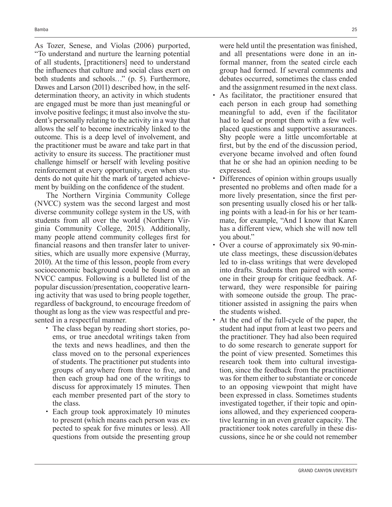As Tozer, Senese, and Violas (2006) purported, "To understand and nurture the learning potential of all students, [practitioners] need to understand the influences that culture and social class exert on both students and schools…" (p. 5). Furthermore, Dawes and Larson (2011) described how, in the selfdetermination theory, an activity in which students are engaged must be more than just meaningful or involve positive feelings; it must also involve the student's personally relating to the activity in a way that allows the self to become inextricably linked to the outcome. This is a deep level of involvement, and the practitioner must be aware and take part in that activity to ensure its success. The practitioner must challenge himself or herself with leveling positive reinforcement at every opportunity, even when students do not quite hit the mark of targeted achievement by building on the confidence of the student.

The Northern Virginia Community College (NVCC) system was the second largest and most diverse community college system in the US, with students from all over the world (Northern Virginia Community College, 2015). Additionally, many people attend community colleges first for financial reasons and then transfer later to universities, which are usually more expensive (Murray, 2010). At the time of this lesson, people from every socioeconomic background could be found on an NVCC campus. Following is a bulleted list of the popular discussion/presentation, cooperative learning activity that was used to bring people together, regardless of background, to encourage freedom of thought as long as the view was respectful and presented in a respectful manner.

- The class began by reading short stories, poems, or true anecdotal writings taken from the texts and news headlines, and then the class moved on to the personal experiences of students. The practitioner put students into groups of anywhere from three to five, and then each group had one of the writings to discuss for approximately 15 minutes. Then each member presented part of the story to the class.
- Each group took approximately 10 minutes to present (which means each person was expected to speak for five minutes or less). All questions from outside the presenting group

were held until the presentation was finished, and all presentations were done in an informal manner, from the seated circle each group had formed. If several comments and debates occurred, sometimes the class ended and the assignment resumed in the next class.

- As facilitator, the practitioner ensured that each person in each group had something meaningful to add, even if the facilitator had to lead or prompt them with a few wellplaced questions and supportive assurances. Shy people were a little uncomfortable at first, but by the end of the discussion period, everyone became involved and often found that he or she had an opinion needing to be expressed.
- Differences of opinion within groups usually presented no problems and often made for a more lively presentation, since the first person presenting usually closed his or her talking points with a lead-in for his or her teammate, for example, "And I know that Karen has a different view, which she will now tell you about."
- Over a course of approximately six 90-minute class meetings, these discussion/debates led to in-class writings that were developed into drafts. Students then paired with someone in their group for critique feedback. Afterward, they were responsible for pairing with someone outside the group. The practitioner assisted in assigning the pairs when the students wished.
- At the end of the full-cycle of the paper, the student had input from at least two peers and the practitioner. They had also been required to do some research to generate support for the point of view presented. Sometimes this research took them into cultural investigation, since the feedback from the practitioner was for them either to substantiate or concede to an opposing viewpoint that might have been expressed in class. Sometimes students investigated together, if their topic and opinions allowed, and they experienced cooperative learning in an even greater capacity. The practitioner took notes carefully in these discussions, since he or she could not remember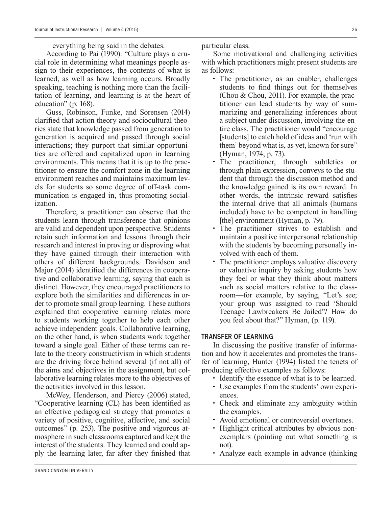According to Pai (1990): "Culture plays a crucial role in determining what meanings people assign to their experiences, the contents of what is learned, as well as how learning occurs. Broadly speaking, teaching is nothing more than the facilitation of learning, and learning is at the heart of education" (p. 168).

Guss, Robinson, Funke, and Sorensen (2014) clarified that action theory and sociocultural theories state that knowledge passed from generation to generation is acquired and passed through social interactions; they purport that similar opportunities are offered and capitalized upon in learning environments. This means that it is up to the practitioner to ensure the comfort zone in the learning environment reaches and maintains maximum levels for students so some degree of off-task communication is engaged in, thus promoting socialization.

Therefore, a practitioner can observe that the students learn through transference that opinions are valid and dependent upon perspective. Students retain such information and lessons through their research and interest in proving or disproving what they have gained through their interaction with others of different backgrounds. Davidson and Major (2014) identified the differences in cooperative and collaborative learning, saying that each is distinct. However, they encouraged practitioners to explore both the similarities and differences in order to promote small group learning. These authors explained that cooperative learning relates more to students working together to help each other achieve independent goals. Collaborative learning, on the other hand, is when students work together toward a single goal. Either of these terms can relate to the theory constructivism in which students are the driving force behind several (if not all) of the aims and objectives in the assignment, but collaborative learning relates more to the objectives of the activities involved in this lesson.

McWey, Henderson, and Piercy (2006) stated, "Cooperative learning (CL) has been identified as an effective pedagogical strategy that promotes a variety of positive, cognitive, affective, and social outcomes" (p. 253). The positive and vigorous atmosphere in such classrooms captured and kept the interest of the students. They learned and could apply the learning later, far after they finished that particular class.

Some motivational and challenging activities with which practitioners might present students are as follows:

- The practitioner, as an enabler, challenges students to find things out for themselves (Chou & Chou, 2011). For example, the practitioner can lead students by way of summarizing and generalizing inferences about a subject under discussion, involving the entire class. The practitioner would "encourage [students] to catch hold of ideas and 'run with them' beyond what is, as yet, known for sure" (Hyman, 1974, p. 73).
- The practitioner, through subtleties or through plain expression, conveys to the student that through the discussion method and the knowledge gained is its own reward. In other words, the intrinsic reward satisfies the internal drive that all animals (humans included) have to be competent in handling [the] environment (Hyman, p. 79).
- The practitioner strives to establish and maintain a positive interpersonal relationship with the students by becoming personally involved with each of them.
- The practitioner employs valuative discovery or valuative inquiry by asking students how they feel or what they think about matters such as social matters relative to the classroom—for example, by saying, "Let's see; your group was assigned to read 'Should Teenage Lawbreakers Be Jailed'? How do you feel about that?" Hyman, (p. 119).

#### TRANSFER OF LEARNING

In discussing the positive transfer of information and how it accelerates and promotes the transfer of learning, Hunter (1994) listed the tenets of producing effective examples as follows:

- Identify the essence of what is to be learned.
- Use examples from the students' own experiences.
- Check and eliminate any ambiguity within the examples.
- Avoid emotional or controversial overtones.
- Highlight critical attributes by obvious nonexemplars (pointing out what something is not).
- Analyze each example in advance (thinking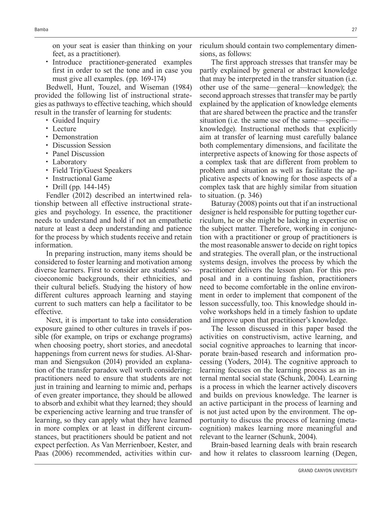on your seat is easier than thinking on your feet, as a practitioner).

• Introduce practitioner-generated examples first in order to set the tone and in case you must give all examples. (pp. 169-174)

Bedwell, Hunt, Touzel, and Wiseman (1984) provided the following list of instructional strategies as pathways to effective teaching, which should result in the transfer of learning for students:

- Guided Inquiry
- Lecture
- Demonstration
- Discussion Session
- Panel Discussion
- Laboratory
- Field Trip/Guest Speakers
- Instructional Game
- Drill (pp. 144-145)

Fendler (2012) described an intertwined relationship between all effective instructional strategies and psychology. In essence, the practitioner needs to understand and hold if not an empathetic nature at least a deep understanding and patience for the process by which students receive and retain information.

In preparing instruction, many items should be considered to foster learning and motivation among diverse learners. First to consider are students' socioeconomic backgrounds, their ethnicities, and their cultural beliefs. Studying the history of how different cultures approach learning and staying current to such matters can help a facilitator to be effective.

Next, it is important to take into consideration exposure gained to other cultures in travels if possible (for example, on trips or exchange programs) when choosing poetry, short stories, and anecdotal happenings from current news for studies. Al-Sharman and Siengsukon (2014) provided an explanation of the transfer paradox well worth considering: practitioners need to ensure that students are not just in training and learning to mimic and, perhaps of even greater importance, they should be allowed to absorb and exhibit what they learned; they should be experiencing active learning and true transfer of learning, so they can apply what they have learned in more complex or at least in different circumstances, but practitioners should be patient and not expect perfection. As Van Merrienboer, Kester, and Paas (2006) recommended, activities within curriculum should contain two complementary dimensions, as follows:

The first approach stresses that transfer may be. partly explained by general or abstract knowledge that may be interpreted in the transfer situation (i.e. other use of the same—general—knowledge); the second approach stresses that transfer may be partly explained by the application of knowledge elements that are shared between the practice and the transfer situation (i.e. the same use of the same—specific knowledge). Instructional methods that explicitly aim at transfer of learning must carefully balance both complementary dimensions, and facilitate the interpretive aspects of knowing for those aspects of a complex task that are different from problem to problem and situation as well as facilitate the applicative aspects of knowing for those aspects of a complex task that are highly similar from situation to situation. (p. 346)

Baturay (2008) points out that if an instructional designer is held responsible for putting together curriculum, he or she might be lacking in expertise on the subject matter. Therefore, working in conjunction with a practitioner or group of practitioners is the most reasonable answer to decide on right topics and strategies. The overall plan, or the instructional systems design, involves the process by which the practitioner delivers the lesson plan. For this proposal and in a continuing fashion, practitioners need to become comfortable in the online environment in order to implement that component of the lesson successfully, too. This knowledge should involve workshops held in a timely fashion to update and improve upon that practitioner's knowledge.

The lesson discussed in this paper based the activities on constructivism, active learning, and social cognitive approaches to learning that incorporate brain-based research and information processing (Yoders, 2014). The cognitive approach to learning focuses on the learning process as an internal mental social state (Schunk, 2004). Learning is a process in which the learner actively discovers and builds on previous knowledge. The learner is an active participant in the process of learning and is not just acted upon by the environment. The opportunity to discuss the process of learning (metacognition) makes learning more meaningful and relevant to the learner (Schunk, 2004).

Brain-based learning deals with brain research and how it relates to classroom learning (Degen,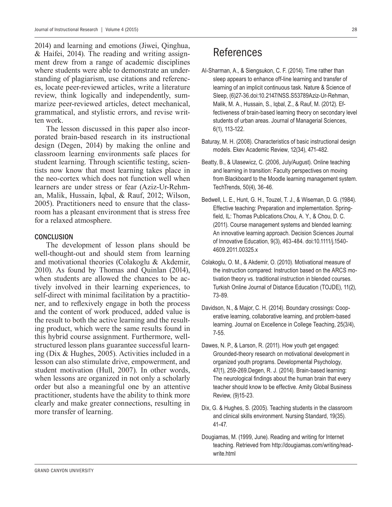2014) and learning and emotions (Jiwei, Qinghua, & Haifei, 2014). The reading and writing assignment drew from a range of academic disciplines where students were able to demonstrate an understanding of plagiarism, use citations and references, locate peer-reviewed articles, write a literature review, think logically and independently, summarize peer-reviewed articles, detect mechanical, grammatical, and stylistic errors, and revise written work.

The lesson discussed in this paper also incorporated brain-based research in its instructional design (Degen, 2014) by making the online and classroom learning environments safe places for student learning. Through scientific testing, scientists now know that most learning takes place in the neo-cortex which does not function well when learners are under stress or fear (Aziz-Ur-Rehman, Malik, Hussain, Iqbal, & Rauf, 2012; Wilson, 2005). Practitioners need to ensure that the classroom has a pleasant environment that is stress free for a relaxed atmosphere.

#### **CONCLUSION**

The development of lesson plans should be well-thought-out and should stem from learning and motivational theories (Colakoglu & Akdemir, 2010). As found by Thomas and Quinlan (2014), when students are allowed the chances to be actively involved in their learning experiences, to self-direct with minimal facilitation by a practitioner, and to reflexively engage in both the process and the content of work produced, added value is the result to both the active learning and the resulting product, which were the same results found in this hybrid course assignment. Furthermore, wellstructured lesson plans guarantee successful learning (Dix & Hughes, 2005). Activities included in a lesson can also stimulate drive, empowerment, and student motivation (Hull, 2007). In other words, when lessons are organized in not only a scholarly order but also a meaningful one by an attentive practitioner, students have the ability to think more clearly and make greater connections, resulting in more transfer of learning.

### References

- Al-Sharman, A., & Siengsukon, C. F. (2014). Time rather than sleep appears to enhance off-line learning and transfer of learning of an implicit continuous task. Nature & Science of Sleep, (6)27-36.doi:10.2147/NSS.S53789Aziz-Ur-Rehman, Malik, M. A., Hussain, S., Iqbal, Z., & Rauf, M. (2012). Effectiveness of brain-based learning theory on secondary level students of urban areas. Journal of Managerial Sciences, 6(1), 113-122.
- Baturay, M. H. (2008). Characteristics of basic instructional design models. Ekev Academic Review, 12(34), 471-482.
- Beatty, B., & Ulasewicz, C. (2006, July/August). Online teaching and learning in transition: Faculty perspectives on moving from Blackboard to the Moodle learning management system. TechTrends, 50(4), 36-46.
- Bedwell, L. E., Hunt, G. H., Touzel, T. J., & Wiseman, D. G. (1984). Effective teaching: Preparation and implementation. Spring field, IL: Thomas Publications. Chou, A. Y., & Chou, D. C. (2011). Course management systems and blended learning: An innovative learning approach. Decision Sciences Journal of Innovative Education, 9(3), 463-484. doi:10.1111/j.1540- 4609.2011.00325.x
- Colakoglu, O. M., & Akdemir, O. (2010). Motivational measure of the instruction compared: Instruction based on the ARCS motivation theory vs. traditional instruction in blended courses. Turkish Online Journal of Distance Education (TOJDE), 11(2), 73-89.
- Davidson, N., & Major, C. H. (2014). Boundary crossings: Cooperative learning, collaborative learning, and problem-based learning. Journal on Excellence in College Teaching, 25(3/4), 7-55.
- Dawes, N. P., & Larson, R. (2011). How youth get engaged: Grounded-theory research on motivational development in organized youth programs. Developmental Psychology, 47(1), 259-269.Degen, R. J. (2014). Brain-based learning: The neurological findings about the human brain that every teacher should know to be effective. Amity Global Business Review, (9)15-23.
- Dix, G. & Hughes, S. (2005). Teaching students in the classroom and clinical skills environment. Nursing Standard, 19(35). 41-47.
- Dougiamas, M. (1999, June). Reading and writing for Internet teaching. Retrieved from http://dougiamas.com/writing/readwrite.html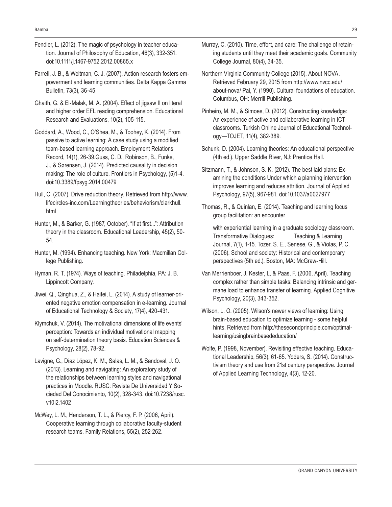- Fendler, L. (2012). The magic of psychology in teacher education. Journal of Philosophy of Education, 46(3), 332-351. doi:10.1111/j.1467-9752.2012.00865.x
- Farrell, J. B., & Weitman, C. J. (2007). Action research fosters empowerment and learning communities. Delta Kappa Gamma Bulletin, 73(3), 36-45
- Ghaith, G. & El-Malak, M. A. (2004). Effect of jigsaw II on literal and higher order EFL reading comprehension. Educational Research and Evaluations, 10(2), 105-115.
- Goddard, A., Wood, C., O'Shea, M., & Toohey, K. (2014). From passive to active learning: A case study using a modified team-based learning approach. Employment Relations Record, 14(1), 26-39.Guss, C. D., Robinson, B., Funke, J., & Sørensen, J. (2014). Predicted causality in decision making: The role of culture. Frontiers in Psychology, (5)1-4. doi:10.3389/fpsyg.2014.00479
- Hull, C. (2007). Drive reduction theory. Retrieved from http://www. lifecircles-inc.com/Learningtheories/behaviorism/clarkhull. html
- Hunter, M., & Barker, G. (1987, October). "If at first...": Attribution theory in the classroom. Educational Leadership, 45(2), 50- 54.
- Hunter, M. (1994). Enhancing teaching. New York: Macmillan College Publishing.
- Hyman, R. T. (1974). Ways of teaching. Philadelphia, PA: J. B. Lippincott Company.
- Jiwei, Q., Qinghua, Z., & Haifei, L. (2014). A study of learner-oriented negative emotion compensation in e-learning. Journal of Educational Technology & Society, 17(4), 420-431.
- Klymchuk, V. (2014). The motivational dimensions of life events' perception: Towards an individual motivational mapping on self-determination theory basis. Education Sciences & Psychology, 28(2), 78-92.
- Lavigne, G., Díaz López, K. M., Salas, L. M., & Sandoval, J. O. (2013). Learning and navigating: An exploratory study of the relationships between learning styles and navigational practices in Moodle. RUSC: Revista De Universidad Y Sociedad Del Conocimiento, 10(2), 328-343. doi:10.7238/rusc. v10i2.1402
- McWey, L. M., Henderson, T. L., & Piercy, F. P. (2006, April). Cooperative learning through collaborative faculty-student research teams. Family Relations, 55(2), 252-262.
- Murray, C. (2010). Time, effort, and care: The challenge of retaining students until they meet their academic goals. Community College Journal, 80(4), 34-35.
- Northern Virginia Community College (2015). About NOVA. Retrieved February 29, 2015 from http://www.nvcc.edu/ about-nova/ Pai, Y. (1990). Cultural foundations of education. Columbus, OH: Merrill Publishing.
- Pinheiro, M. M., & Simoes, D. (2012). Constructing knowledge: An experience of active and collaborative learning in ICT classrooms. Turkish Online Journal of Educational Technology—TOJET, 11(4), 382-389.
- Schunk, D. (2004). Learning theories: An educational perspective (4th ed.). Upper Saddle River, NJ: Prentice Hall.
- Sitzmann, T., & Johnson, S. K. (2012). The best laid plans: Examining the conditions Under which a planning intervention improves learning and reduces attrition. Journal of Applied Psychology, 97(5), 967-981. doi:10.1037/a0027977
- Thomas, R., & Quinlan, E. (2014). Teaching and learning focus group facilitation: an encounter

 with experiential learning in a graduate sociology classroom. Transformative Dialogues: Teaching & Learning Journal, 7(1), 1-15. Tozer, S. E., Senese, G., & Violas, P. C. (2006). School and society: Historical and contemporary perspectives (5th ed.). Boston, MA: McGraw-Hill.

- Van Merrienboer, J. Kester, L, & Paas, F. (2006, April). Teaching complex rather than simple tasks: Balancing intrinsic and germane load to enhance transfer of learning. Applied Cognitive Psychology, 20(3), 343-352.
- Wilson, L. O. (2005). Wilson's newer views of learning: Using brain-based education to optimize learning - some helpful hints. Retrieved from http://thesecondprinciple.com/optimallearning/usingbrainbasededucation/
- Wolfe, P. (1998, November). Revisiting effective teaching. Educational Leadership, 56(3), 61-65. Yoders, S. (2014). Constructivism theory and use from 21st century perspective. Journal of Applied Learning Technology, 4(3), 12-20.